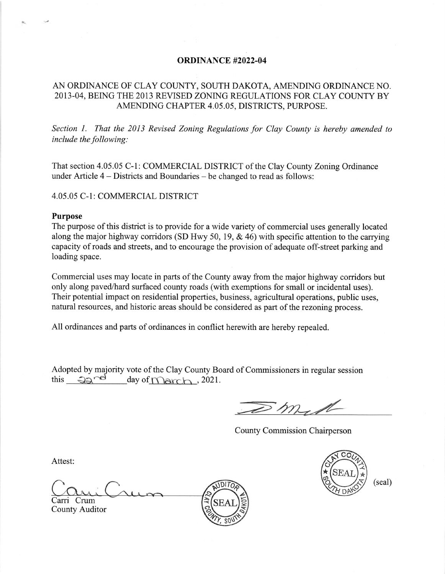## ORDINANCE #2022.04

## AN ORDINANCE OF CLAY COUNTY, SOUTH DAKOTA, AMENDING ORDINANCE NO 2013-04, BEING THE 2013 REVISED ZONING REGULATIONS FOR CLAY COUNTY BY AMENDING CHAPTER 4.05.05, DISTRICTS, PURPOSE.

Section 1. That the 2013 Revised Zoning Regulations for Clay County is hereby amended to include the following:

That section 4.05.05 C-1: COMMERCIAL DISTRICT of the Clay County Zoning Ordinance under Article 4 – Districts and Boundaries – be changed to read as follows:

4.05.05 C-1: COMMERCIAL DISTRICT

## Purpose

The purpose of this district is to provide for a wide variety of commercial uses generally located along the major highway corridors (SD Hwy 50, 19, & 46) with specific attention to the carrying capacity of roads and streets, and to encourage the provision of adequate off-street parking and loading space.

Commercial uses may locate in parts of the County away from the major highway corridors but only along paved/hard surfaced county roads (with exemptions for small or incidental uses). Their potential impact on residential properties, business, agricultural operations, public uses, natural resources, and historic areas should be considered as part of the rezoning process.

All ordinances and parts of ordinances in conflict herewith are hereby repealed.

Adopted by majority vote of the Clay County Board of Commissioners in regular session this  $\frac{QQ^{rel}}{dq}$  day of <u>March</u>, 2021

 $\mathcal{D}$  mg 1

County Commission Chairperson

Attest:

Carri Crum SEAL County Auditor